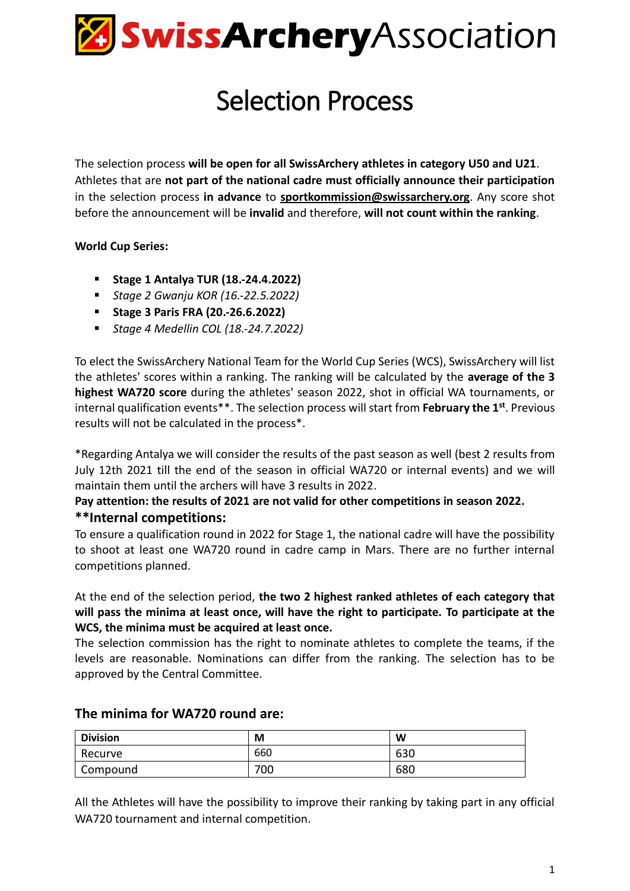

# Selection Process

The selection process **will be open for all SwissArchery athletes in category U50 and U21**. Athletes that are **not part of the national cadre must officially announce their participation** in the selection process **in advance** to **[sportkommission@swissarchery.org](mailto:sportkommission@swissarchery.org)**. Any score shot before the announcement will be **invalid** and therefore, **will not count within the ranking**.

#### **World Cup Series:**

- **Stage 1 Antalya TUR (18.-24.4.2022)**
- *Stage 2 Gwanju KOR (16.-22.5.2022)*
- **Stage 3 Paris FRA (20.-26.6.2022)**
- *Stage 4 Medellin COL (18.-24.7.2022)*

To elect the SwissArchery National Team for the World Cup Series (WCS), SwissArchery will list the athletes' scores within a ranking. The ranking will be calculated by the **average of the 3 highest WA720 score** during the athletes' season 2022, shot in official WA tournaments, or internal qualification events\*\*. The selection process will start from **February the 1 st**. Previous results will not be calculated in the process\*.

\*Regarding Antalya we will consider the results of the past season as well (best 2 results from July 12th 2021 till the end of the season in official WA720 or internal events) and we will maintain them until the archers will have 3 results in 2022.

# **Pay attention: the results of 2021 are not valid for other competitions in season 2022. \*\*Internal competitions:**

To ensure a qualification round in 2022 for Stage 1, the national cadre will have the possibility to shoot at least one WA720 round in cadre camp in Mars. There are no further internal competitions planned.

At the end of the selection period, **the two 2 highest ranked athletes of each category that will pass the minima at least once, will have the right to participate. To participate at the WCS, the minima must be acquired at least once.** 

The selection commission has the right to nominate athletes to complete the teams, if the levels are reasonable. Nominations can differ from the ranking. The selection has to be approved by the Central Committee.

| <b>Division</b> | M   | W   |
|-----------------|-----|-----|
| Recurve         | 660 | 630 |
| Compound        | 700 | 680 |

### **The minima for WA720 round are:**

All the Athletes will have the possibility to improve their ranking by taking part in any official WA720 tournament and internal competition.